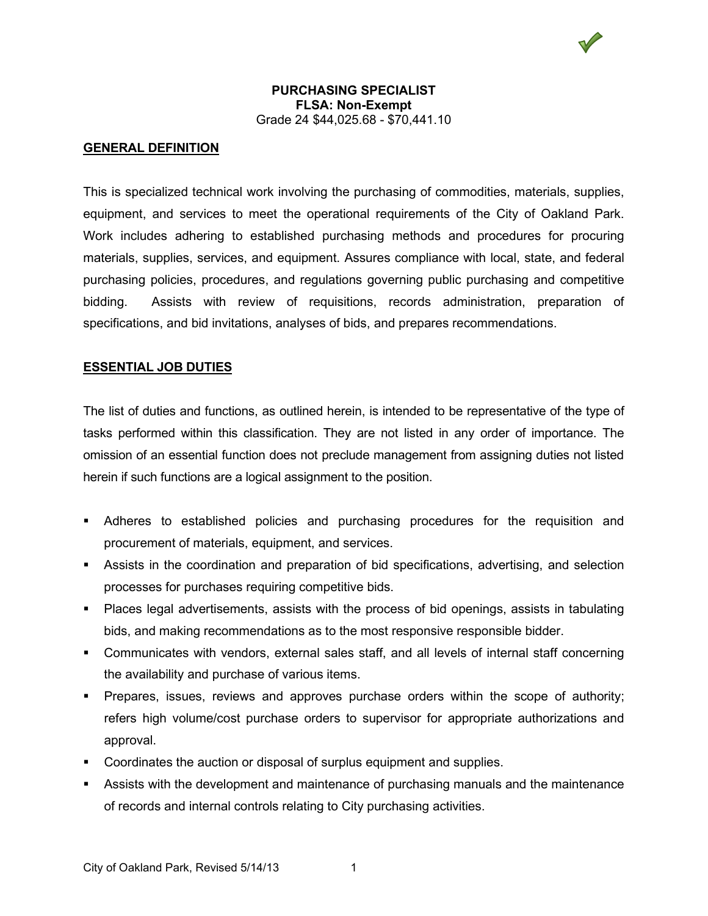

### **PURCHASING SPECIALIST FLSA: Non-Exempt** Grade 24 \$44,025.68 - \$70,441.10

### **GENERAL DEFINITION**

This is specialized technical work involving the purchasing of commodities, materials, supplies, equipment, and services to meet the operational requirements of the City of Oakland Park. Work includes adhering to established purchasing methods and procedures for procuring materials, supplies, services, and equipment. Assures compliance with local, state, and federal purchasing policies, procedures, and regulations governing public purchasing and competitive bidding. Assists with review of requisitions, records administration, preparation of specifications, and bid invitations, analyses of bids, and prepares recommendations.

### **ESSENTIAL JOB DUTIES**

The list of duties and functions, as outlined herein, is intended to be representative of the type of tasks performed within this classification. They are not listed in any order of importance. The omission of an essential function does not preclude management from assigning duties not listed herein if such functions are a logical assignment to the position.

- Adheres to established policies and purchasing procedures for the requisition and procurement of materials, equipment, and services.
- Assists in the coordination and preparation of bid specifications, advertising, and selection processes for purchases requiring competitive bids.
- Places legal advertisements, assists with the process of bid openings, assists in tabulating bids, and making recommendations as to the most responsive responsible bidder.
- Communicates with vendors, external sales staff, and all levels of internal staff concerning the availability and purchase of various items.
- Prepares, issues, reviews and approves purchase orders within the scope of authority; refers high volume/cost purchase orders to supervisor for appropriate authorizations and approval.
- Coordinates the auction or disposal of surplus equipment and supplies.
- Assists with the development and maintenance of purchasing manuals and the maintenance of records and internal controls relating to City purchasing activities.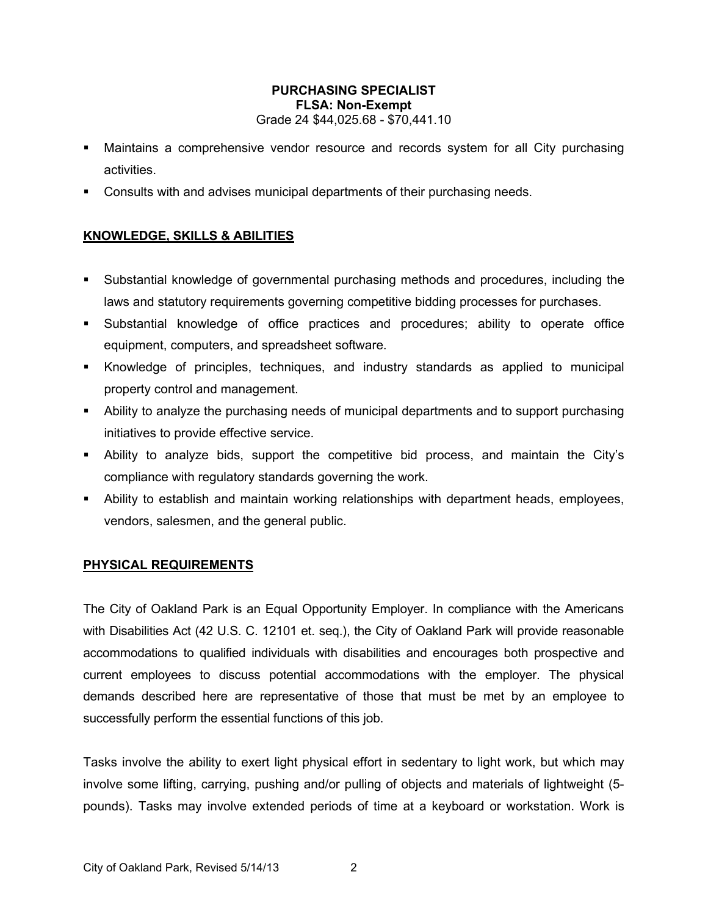### **PURCHASING SPECIALIST FLSA: Non-Exempt** Grade 24 \$44,025.68 - \$70,441.10

- Maintains a comprehensive vendor resource and records system for all City purchasing activities.
- **Consults with and advises municipal departments of their purchasing needs.**

# **KNOWLEDGE, SKILLS & ABILITIES**

- Substantial knowledge of governmental purchasing methods and procedures, including the laws and statutory requirements governing competitive bidding processes for purchases.
- Substantial knowledge of office practices and procedures; ability to operate office equipment, computers, and spreadsheet software.
- Knowledge of principles, techniques, and industry standards as applied to municipal property control and management.
- Ability to analyze the purchasing needs of municipal departments and to support purchasing initiatives to provide effective service.
- Ability to analyze bids, support the competitive bid process, and maintain the City's compliance with regulatory standards governing the work.
- Ability to establish and maintain working relationships with department heads, employees, vendors, salesmen, and the general public.

# **PHYSICAL REQUIREMENTS**

The City of Oakland Park is an Equal Opportunity Employer. In compliance with the Americans with Disabilities Act (42 U.S. C. 12101 et. seq.), the City of Oakland Park will provide reasonable accommodations to qualified individuals with disabilities and encourages both prospective and current employees to discuss potential accommodations with the employer. The physical demands described here are representative of those that must be met by an employee to successfully perform the essential functions of this job.

Tasks involve the ability to exert light physical effort in sedentary to light work, but which may involve some lifting, carrying, pushing and/or pulling of objects and materials of lightweight (5 pounds). Tasks may involve extended periods of time at a keyboard or workstation. Work is